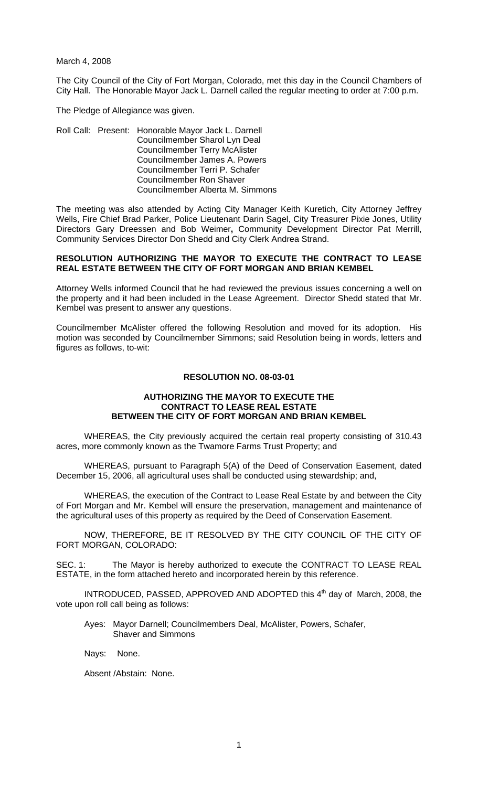March 4, 2008

The City Council of the City of Fort Morgan, Colorado, met this day in the Council Chambers of City Hall. The Honorable Mayor Jack L. Darnell called the regular meeting to order at 7:00 p.m.

The Pledge of Allegiance was given.

Roll Call: Present: Honorable Mayor Jack L. Darnell Councilmember Sharol Lyn Deal Councilmember Terry McAlister Councilmember James A. Powers Councilmember Terri P. Schafer Councilmember Ron Shaver Councilmember Alberta M. Simmons

The meeting was also attended by Acting City Manager Keith Kuretich, City Attorney Jeffrey Wells, Fire Chief Brad Parker, Police Lieutenant Darin Sagel, City Treasurer Pixie Jones, Utility Directors Gary Dreessen and Bob Weimer**,** Community Development Director Pat Merrill, Community Services Director Don Shedd and City Clerk Andrea Strand.

#### **RESOLUTION AUTHORIZING THE MAYOR TO EXECUTE THE CONTRACT TO LEASE REAL ESTATE BETWEEN THE CITY OF FORT MORGAN AND BRIAN KEMBEL**

Attorney Wells informed Council that he had reviewed the previous issues concerning a well on the property and it had been included in the Lease Agreement. Director Shedd stated that Mr. Kembel was present to answer any questions.

Councilmember McAlister offered the following Resolution and moved for its adoption. His motion was seconded by Councilmember Simmons; said Resolution being in words, letters and figures as follows, to-wit:

### **RESOLUTION NO. 08-03-01**

### **AUTHORIZING THE MAYOR TO EXECUTE THE CONTRACT TO LEASE REAL ESTATE BETWEEN THE CITY OF FORT MORGAN AND BRIAN KEMBEL**

WHEREAS, the City previously acquired the certain real property consisting of 310.43 acres, more commonly known as the Twamore Farms Trust Property; and

WHEREAS, pursuant to Paragraph 5(A) of the Deed of Conservation Easement, dated December 15, 2006, all agricultural uses shall be conducted using stewardship; and,

WHEREAS, the execution of the Contract to Lease Real Estate by and between the City of Fort Morgan and Mr. Kembel will ensure the preservation, management and maintenance of the agricultural uses of this property as required by the Deed of Conservation Easement.

NOW, THEREFORE, BE IT RESOLVED BY THE CITY COUNCIL OF THE CITY OF FORT MORGAN, COLORADO:

SEC. 1: The Mayor is hereby authorized to execute the CONTRACT TO LEASE REAL ESTATE, in the form attached hereto and incorporated herein by this reference.

INTRODUCED, PASSED, APPROVED AND ADOPTED this 4<sup>th</sup> day of March, 2008, the vote upon roll call being as follows:

- Ayes: Mayor Darnell; Councilmembers Deal, McAlister, Powers, Schafer, Shaver and Simmons
- Nays: None.

Absent /Abstain: None.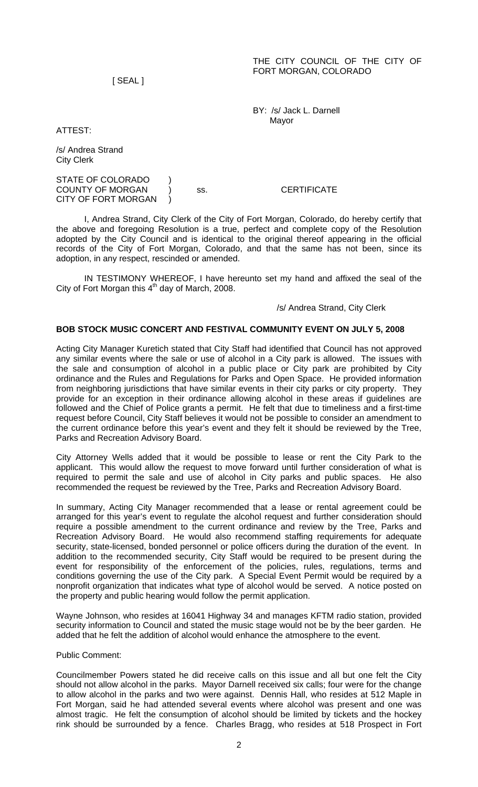[ SEAL ]

 BY: /s/ Jack L. Darnell Mayor

ATTEST:

/s/ Andrea Strand City Clerk

STATE OF COLORADO ) COUNTY OF MORGAN ) ss. CERTIFICATE CITY OF FORT MORGAN )

 I, Andrea Strand, City Clerk of the City of Fort Morgan, Colorado, do hereby certify that the above and foregoing Resolution is a true, perfect and complete copy of the Resolution adopted by the City Council and is identical to the original thereof appearing in the official records of the City of Fort Morgan, Colorado, and that the same has not been, since its adoption, in any respect, rescinded or amended.

 IN TESTIMONY WHEREOF, I have hereunto set my hand and affixed the seal of the City of Fort Morgan this  $4<sup>th</sup>$  day of March, 2008.

/s/ Andrea Strand, City Clerk

# **BOB STOCK MUSIC CONCERT AND FESTIVAL COMMUNITY EVENT ON JULY 5, 2008**

Acting City Manager Kuretich stated that City Staff had identified that Council has not approved any similar events where the sale or use of alcohol in a City park is allowed. The issues with the sale and consumption of alcohol in a public place or City park are prohibited by City ordinance and the Rules and Regulations for Parks and Open Space. He provided information from neighboring jurisdictions that have similar events in their city parks or city property. They provide for an exception in their ordinance allowing alcohol in these areas if guidelines are followed and the Chief of Police grants a permit. He felt that due to timeliness and a first-time request before Council, City Staff believes it would not be possible to consider an amendment to the current ordinance before this year's event and they felt it should be reviewed by the Tree, Parks and Recreation Advisory Board.

City Attorney Wells added that it would be possible to lease or rent the City Park to the applicant. This would allow the request to move forward until further consideration of what is required to permit the sale and use of alcohol in City parks and public spaces. He also recommended the request be reviewed by the Tree, Parks and Recreation Advisory Board.

In summary, Acting City Manager recommended that a lease or rental agreement could be arranged for this year's event to regulate the alcohol request and further consideration should require a possible amendment to the current ordinance and review by the Tree, Parks and Recreation Advisory Board. He would also recommend staffing requirements for adequate security, state-licensed, bonded personnel or police officers during the duration of the event. In addition to the recommended security, City Staff would be required to be present during the event for responsibility of the enforcement of the policies, rules, regulations, terms and conditions governing the use of the City park. A Special Event Permit would be required by a nonprofit organization that indicates what type of alcohol would be served. A notice posted on the property and public hearing would follow the permit application.

Wayne Johnson, who resides at 16041 Highway 34 and manages KFTM radio station, provided security information to Council and stated the music stage would not be by the beer garden. He added that he felt the addition of alcohol would enhance the atmosphere to the event.

Public Comment:

Councilmember Powers stated he did receive calls on this issue and all but one felt the City should not allow alcohol in the parks. Mayor Darnell received six calls; four were for the change to allow alcohol in the parks and two were against. Dennis Hall, who resides at 512 Maple in Fort Morgan, said he had attended several events where alcohol was present and one was almost tragic. He felt the consumption of alcohol should be limited by tickets and the hockey rink should be surrounded by a fence. Charles Bragg, who resides at 518 Prospect in Fort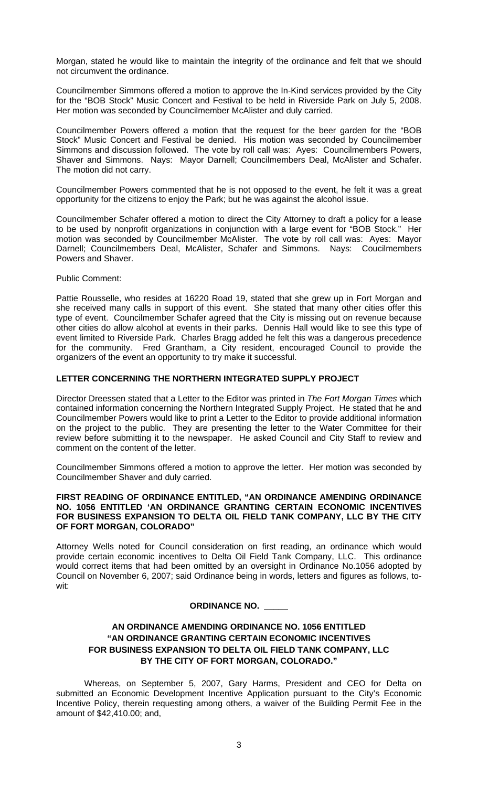Morgan, stated he would like to maintain the integrity of the ordinance and felt that we should not circumvent the ordinance.

Councilmember Simmons offered a motion to approve the In-Kind services provided by the City for the "BOB Stock" Music Concert and Festival to be held in Riverside Park on July 5, 2008. Her motion was seconded by Councilmember McAlister and duly carried.

Councilmember Powers offered a motion that the request for the beer garden for the "BOB Stock" Music Concert and Festival be denied. His motion was seconded by Councilmember Simmons and discussion followed. The vote by roll call was: Ayes: Councilmembers Powers, Shaver and Simmons. Nays: Mayor Darnell; Councilmembers Deal, McAlister and Schafer. The motion did not carry.

Councilmember Powers commented that he is not opposed to the event, he felt it was a great opportunity for the citizens to enjoy the Park; but he was against the alcohol issue.

Councilmember Schafer offered a motion to direct the City Attorney to draft a policy for a lease to be used by nonprofit organizations in conjunction with a large event for "BOB Stock." Her motion was seconded by Councilmember McAlister. The vote by roll call was: Ayes: Mayor Darnell; Councilmembers Deal, McAlister, Schafer and Simmons. Nays: Coucilmembers Powers and Shaver.

Public Comment:

Pattie Rousselle, who resides at 16220 Road 19, stated that she grew up in Fort Morgan and she received many calls in support of this event. She stated that many other cities offer this type of event. Councilmember Schafer agreed that the City is missing out on revenue because other cities do allow alcohol at events in their parks. Dennis Hall would like to see this type of event limited to Riverside Park. Charles Bragg added he felt this was a dangerous precedence for the community. Fred Grantham, a City resident, encouraged Council to provide the organizers of the event an opportunity to try make it successful.

### **LETTER CONCERNING THE NORTHERN INTEGRATED SUPPLY PROJECT**

Director Dreessen stated that a Letter to the Editor was printed in *The Fort Morgan Times* which contained information concerning the Northern Integrated Supply Project. He stated that he and Councilmember Powers would like to print a Letter to the Editor to provide additional information on the project to the public. They are presenting the letter to the Water Committee for their review before submitting it to the newspaper. He asked Council and City Staff to review and comment on the content of the letter.

Councilmember Simmons offered a motion to approve the letter. Her motion was seconded by Councilmember Shaver and duly carried.

### **FIRST READING OF ORDINANCE ENTITLED, "AN ORDINANCE AMENDING ORDINANCE NO. 1056 ENTITLED 'AN ORDINANCE GRANTING CERTAIN ECONOMIC INCENTIVES FOR BUSINESS EXPANSION TO DELTA OIL FIELD TANK COMPANY, LLC BY THE CITY OF FORT MORGAN, COLORADO"**

Attorney Wells noted for Council consideration on first reading, an ordinance which would provide certain economic incentives to Delta Oil Field Tank Company, LLC. This ordinance would correct items that had been omitted by an oversight in Ordinance No.1056 adopted by Council on November 6, 2007; said Ordinance being in words, letters and figures as follows, towit:

### **ORDINANCE NO. \_\_\_\_\_**

# **AN ORDINANCE AMENDING ORDINANCE NO. 1056 ENTITLED "AN ORDINANCE GRANTING CERTAIN ECONOMIC INCENTIVES FOR BUSINESS EXPANSION TO DELTA OIL FIELD TANK COMPANY, LLC BY THE CITY OF FORT MORGAN, COLORADO."**

Whereas, on September 5, 2007, Gary Harms, President and CEO for Delta on submitted an Economic Development Incentive Application pursuant to the City's Economic Incentive Policy, therein requesting among others, a waiver of the Building Permit Fee in the amount of \$42,410.00; and,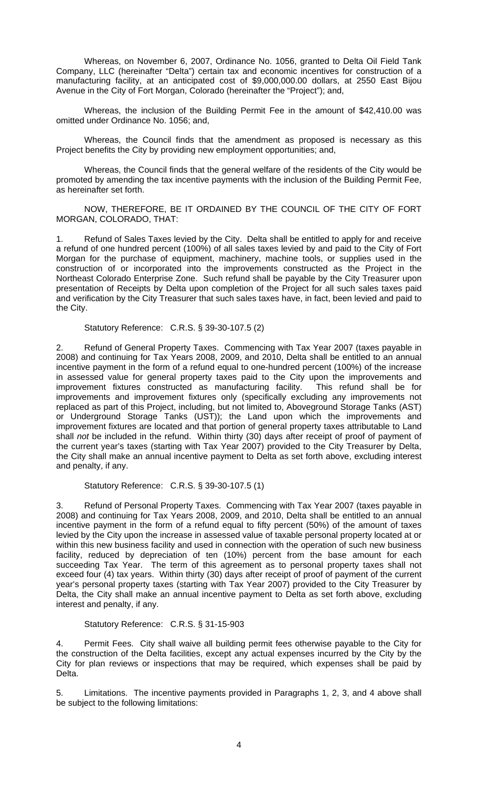Whereas, on November 6, 2007, Ordinance No. 1056, granted to Delta Oil Field Tank Company, LLC (hereinafter "Delta") certain tax and economic incentives for construction of a manufacturing facility, at an anticipated cost of \$9,000,000.00 dollars, at 2550 East Bijou Avenue in the City of Fort Morgan, Colorado (hereinafter the "Project"); and,

 Whereas, the inclusion of the Building Permit Fee in the amount of \$42,410.00 was omitted under Ordinance No. 1056; and,

 Whereas, the Council finds that the amendment as proposed is necessary as this Project benefits the City by providing new employment opportunities; and,

 Whereas, the Council finds that the general welfare of the residents of the City would be promoted by amending the tax incentive payments with the inclusion of the Building Permit Fee, as hereinafter set forth.

 NOW, THEREFORE, BE IT ORDAINED BY THE COUNCIL OF THE CITY OF FORT MORGAN, COLORADO, THAT:

1. Refund of Sales Taxes levied by the City. Delta shall be entitled to apply for and receive a refund of one hundred percent (100%) of all sales taxes levied by and paid to the City of Fort Morgan for the purchase of equipment, machinery, machine tools, or supplies used in the construction of or incorporated into the improvements constructed as the Project in the Northeast Colorado Enterprise Zone. Such refund shall be payable by the City Treasurer upon presentation of Receipts by Delta upon completion of the Project for all such sales taxes paid and verification by the City Treasurer that such sales taxes have, in fact, been levied and paid to the City.

### Statutory Reference: C.R.S. § 39-30-107.5 (2)

2. Refund of General Property Taxes. Commencing with Tax Year 2007 (taxes payable in 2008) and continuing for Tax Years 2008, 2009, and 2010, Delta shall be entitled to an annual incentive payment in the form of a refund equal to one-hundred percent (100%) of the increase in assessed value for general property taxes paid to the City upon the improvements and improvement fixtures constructed as manufacturing facility. This refund shall be for improvements and improvement fixtures only (specifically excluding any improvements not replaced as part of this Project, including, but not limited to, Aboveground Storage Tanks (AST) or Underground Storage Tanks (UST)); the Land upon which the improvements and improvement fixtures are located and that portion of general property taxes attributable to Land shall *not* be included in the refund. Within thirty (30) days after receipt of proof of payment of the current year's taxes (starting with Tax Year 2007) provided to the City Treasurer by Delta, the City shall make an annual incentive payment to Delta as set forth above, excluding interest and penalty, if any.

Statutory Reference: C.R.S. § 39-30-107.5 (1)

3. Refund of Personal Property Taxes. Commencing with Tax Year 2007 (taxes payable in 2008) and continuing for Tax Years 2008, 2009, and 2010, Delta shall be entitled to an annual incentive payment in the form of a refund equal to fifty percent (50%) of the amount of taxes levied by the City upon the increase in assessed value of taxable personal property located at or within this new business facility and used in connection with the operation of such new business facility, reduced by depreciation of ten (10%) percent from the base amount for each succeeding Tax Year. The term of this agreement as to personal property taxes shall not exceed four (4) tax years. Within thirty (30) days after receipt of proof of payment of the current year's personal property taxes (starting with Tax Year 2007) provided to the City Treasurer by Delta, the City shall make an annual incentive payment to Delta as set forth above, excluding interest and penalty, if any.

### Statutory Reference: C.R.S. § 31-15-903

4. Permit Fees. City shall waive all building permit fees otherwise payable to the City for the construction of the Delta facilities, except any actual expenses incurred by the City by the City for plan reviews or inspections that may be required, which expenses shall be paid by Delta.

5. Limitations. The incentive payments provided in Paragraphs 1, 2, 3, and 4 above shall be subject to the following limitations: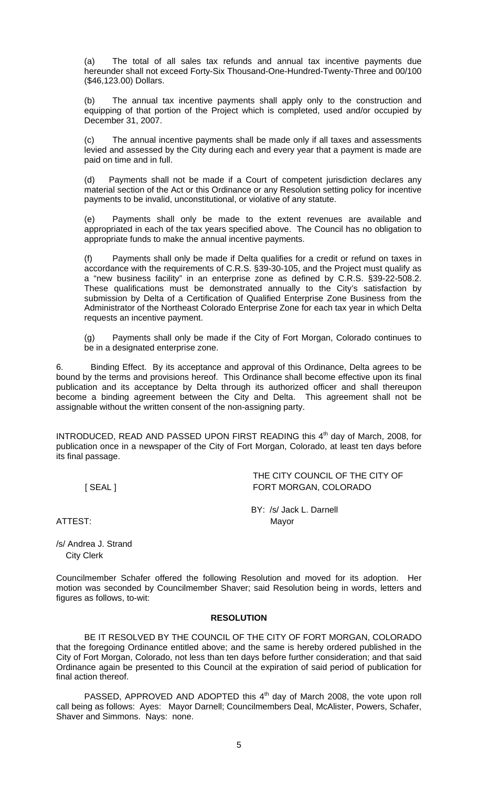(a) The total of all sales tax refunds and annual tax incentive payments due hereunder shall not exceed Forty-Six Thousand-One-Hundred-Twenty-Three and 00/100 (\$46,123.00) Dollars.

(b) The annual tax incentive payments shall apply only to the construction and equipping of that portion of the Project which is completed, used and/or occupied by December 31, 2007.

(c) The annual incentive payments shall be made only if all taxes and assessments levied and assessed by the City during each and every year that a payment is made are paid on time and in full.

(d) Payments shall not be made if a Court of competent jurisdiction declares any material section of the Act or this Ordinance or any Resolution setting policy for incentive payments to be invalid, unconstitutional, or violative of any statute.

(e) Payments shall only be made to the extent revenues are available and appropriated in each of the tax years specified above. The Council has no obligation to appropriate funds to make the annual incentive payments.

(f) Payments shall only be made if Delta qualifies for a credit or refund on taxes in accordance with the requirements of C.R.S. §39-30-105, and the Project must qualify as a "new business facility" in an enterprise zone as defined by C.R.S. §39-22-508.2. These qualifications must be demonstrated annually to the City's satisfaction by submission by Delta of a Certification of Qualified Enterprise Zone Business from the Administrator of the Northeast Colorado Enterprise Zone for each tax year in which Delta requests an incentive payment.

(g) Payments shall only be made if the City of Fort Morgan, Colorado continues to be in a designated enterprise zone.

6.Binding Effect. By its acceptance and approval of this Ordinance, Delta agrees to be bound by the terms and provisions hereof. This Ordinance shall become effective upon its final publication and its acceptance by Delta through its authorized officer and shall thereupon become a binding agreement between the City and Delta. This agreement shall not be assignable without the written consent of the non-assigning party.

INTRODUCED, READ AND PASSED UPON FIRST READING this 4<sup>th</sup> day of March, 2008, for publication once in a newspaper of the City of Fort Morgan, Colorado, at least ten days before its final passage.

 THE CITY COUNCIL OF THE CITY OF [ SEAL ] FORT MORGAN, COLORADO

 BY: /s/ Jack L. Darnell ATTEST: Mayor

/s/ Andrea J. Strand City Clerk

Councilmember Schafer offered the following Resolution and moved for its adoption. Her motion was seconded by Councilmember Shaver; said Resolution being in words, letters and figures as follows, to-wit:

# **RESOLUTION**

 BE IT RESOLVED BY THE COUNCIL OF THE CITY OF FORT MORGAN, COLORADO that the foregoing Ordinance entitled above; and the same is hereby ordered published in the City of Fort Morgan, Colorado, not less than ten days before further consideration; and that said Ordinance again be presented to this Council at the expiration of said period of publication for final action thereof.

PASSED, APPROVED AND ADOPTED this 4<sup>th</sup> day of March 2008, the vote upon roll call being as follows: Ayes: Mayor Darnell; Councilmembers Deal, McAlister, Powers, Schafer, Shaver and Simmons. Nays: none.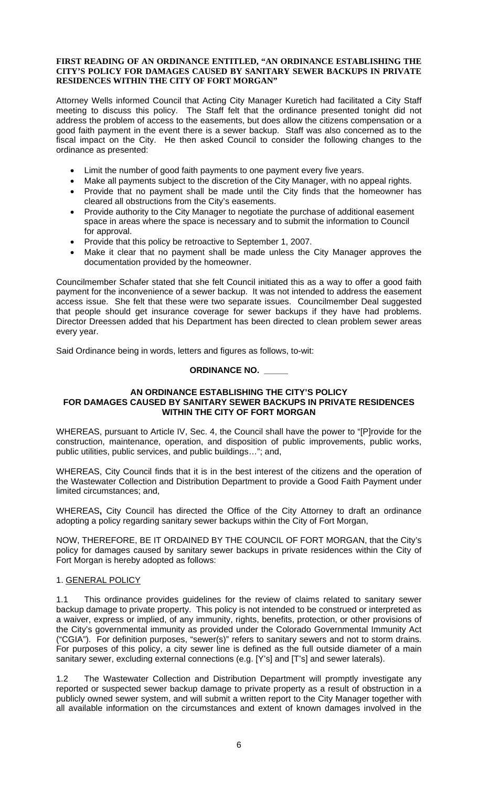#### **FIRST READING OF AN ORDINANCE ENTITLED, "AN ORDINANCE ESTABLISHING THE CITY'S POLICY FOR DAMAGES CAUSED BY SANITARY SEWER BACKUPS IN PRIVATE RESIDENCES WITHIN THE CITY OF FORT MORGAN"**

Attorney Wells informed Council that Acting City Manager Kuretich had facilitated a City Staff meeting to discuss this policy. The Staff felt that the ordinance presented tonight did not address the problem of access to the easements, but does allow the citizens compensation or a good faith payment in the event there is a sewer backup. Staff was also concerned as to the fiscal impact on the City. He then asked Council to consider the following changes to the ordinance as presented:

- Limit the number of good faith payments to one payment every five years.
- Make all payments subject to the discretion of the City Manager, with no appeal rights.
- Provide that no payment shall be made until the City finds that the homeowner has cleared all obstructions from the City's easements.
- Provide authority to the City Manager to negotiate the purchase of additional easement space in areas where the space is necessary and to submit the information to Council for approval.
- Provide that this policy be retroactive to September 1, 2007.
- Make it clear that no payment shall be made unless the City Manager approves the documentation provided by the homeowner.

Councilmember Schafer stated that she felt Council initiated this as a way to offer a good faith payment for the inconvenience of a sewer backup. It was not intended to address the easement access issue. She felt that these were two separate issues. Councilmember Deal suggested that people should get insurance coverage for sewer backups if they have had problems. Director Dreessen added that his Department has been directed to clean problem sewer areas every year.

Said Ordinance being in words, letters and figures as follows, to-wit:

# **ORDINANCE NO. \_\_\_\_\_**

### **AN ORDINANCE ESTABLISHING THE CITY'S POLICY FOR DAMAGES CAUSED BY SANITARY SEWER BACKUPS IN PRIVATE RESIDENCES WITHIN THE CITY OF FORT MORGAN**

WHEREAS, pursuant to Article IV, Sec. 4, the Council shall have the power to "[P]rovide for the construction, maintenance, operation, and disposition of public improvements, public works, public utilities, public services, and public buildings…"; and,

WHEREAS, City Council finds that it is in the best interest of the citizens and the operation of the Wastewater Collection and Distribution Department to provide a Good Faith Payment under limited circumstances; and,

WHEREAS**,** City Council has directed the Office of the City Attorney to draft an ordinance adopting a policy regarding sanitary sewer backups within the City of Fort Morgan,

NOW, THEREFORE, BE IT ORDAINED BY THE COUNCIL OF FORT MORGAN, that the City's policy for damages caused by sanitary sewer backups in private residences within the City of Fort Morgan is hereby adopted as follows:

# 1. GENERAL POLICY

1.1 This ordinance provides guidelines for the review of claims related to sanitary sewer backup damage to private property. This policy is not intended to be construed or interpreted as a waiver, express or implied, of any immunity, rights, benefits, protection, or other provisions of the City's governmental immunity as provided under the Colorado Governmental Immunity Act ("CGIA"). For definition purposes, "sewer(s)" refers to sanitary sewers and not to storm drains. For purposes of this policy, a city sewer line is defined as the full outside diameter of a main sanitary sewer, excluding external connections (e.g. [Y's] and [T's] and sewer laterals).

1.2 The Wastewater Collection and Distribution Department will promptly investigate any reported or suspected sewer backup damage to private property as a result of obstruction in a publicly owned sewer system, and will submit a written report to the City Manager together with all available information on the circumstances and extent of known damages involved in the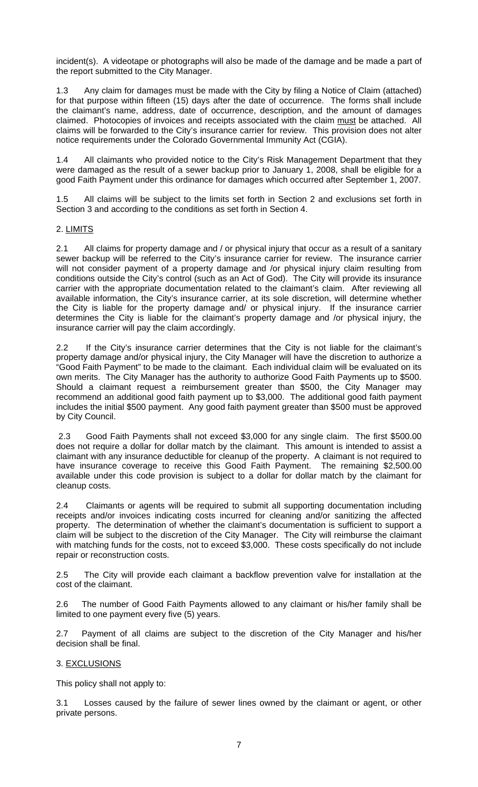incident(s). A videotape or photographs will also be made of the damage and be made a part of the report submitted to the City Manager.

1.3 Any claim for damages must be made with the City by filing a Notice of Claim (attached) for that purpose within fifteen (15) days after the date of occurrence. The forms shall include the claimant's name, address, date of occurrence, description, and the amount of damages claimed. Photocopies of invoices and receipts associated with the claim must be attached. All claims will be forwarded to the City's insurance carrier for review. This provision does not alter notice requirements under the Colorado Governmental Immunity Act (CGIA).

1.4 All claimants who provided notice to the City's Risk Management Department that they were damaged as the result of a sewer backup prior to January 1, 2008, shall be eligible for a good Faith Payment under this ordinance for damages which occurred after September 1, 2007.

All claims will be subject to the limits set forth in Section 2 and exclusions set forth in Section 3 and according to the conditions as set forth in Section 4.

### 2. LIMITS

2.1 All claims for property damage and / or physical injury that occur as a result of a sanitary sewer backup will be referred to the City's insurance carrier for review. The insurance carrier will not consider payment of a property damage and /or physical injury claim resulting from conditions outside the City's control (such as an Act of God). The City will provide its insurance carrier with the appropriate documentation related to the claimant's claim. After reviewing all available information, the City's insurance carrier, at its sole discretion, will determine whether the City is liable for the property damage and/ or physical injury. If the insurance carrier determines the City is liable for the claimant's property damage and /or physical injury, the insurance carrier will pay the claim accordingly.

2.2 If the City's insurance carrier determines that the City is not liable for the claimant's property damage and/or physical injury, the City Manager will have the discretion to authorize a "Good Faith Payment" to be made to the claimant. Each individual claim will be evaluated on its own merits. The City Manager has the authority to authorize Good Faith Payments up to \$500. Should a claimant request a reimbursement greater than \$500, the City Manager may recommend an additional good faith payment up to \$3,000. The additional good faith payment includes the initial \$500 payment. Any good faith payment greater than \$500 must be approved by City Council.

 2.3 Good Faith Payments shall not exceed \$3,000 for any single claim. The first \$500.00 does not require a dollar for dollar match by the claimant. This amount is intended to assist a claimant with any insurance deductible for cleanup of the property. A claimant is not required to have insurance coverage to receive this Good Faith Payment. The remaining \$2,500.00 available under this code provision is subject to a dollar for dollar match by the claimant for cleanup costs.

2.4 Claimants or agents will be required to submit all supporting documentation including receipts and/or invoices indicating costs incurred for cleaning and/or sanitizing the affected property. The determination of whether the claimant's documentation is sufficient to support a claim will be subject to the discretion of the City Manager. The City will reimburse the claimant with matching funds for the costs, not to exceed \$3,000. These costs specifically do not include repair or reconstruction costs.

2.5 The City will provide each claimant a backflow prevention valve for installation at the cost of the claimant.

2.6 The number of Good Faith Payments allowed to any claimant or his/her family shall be limited to one payment every five (5) years.

2.7 Payment of all claims are subject to the discretion of the City Manager and his/her decision shall be final.

### 3. EXCLUSIONS

This policy shall not apply to:

3.1 Losses caused by the failure of sewer lines owned by the claimant or agent, or other private persons.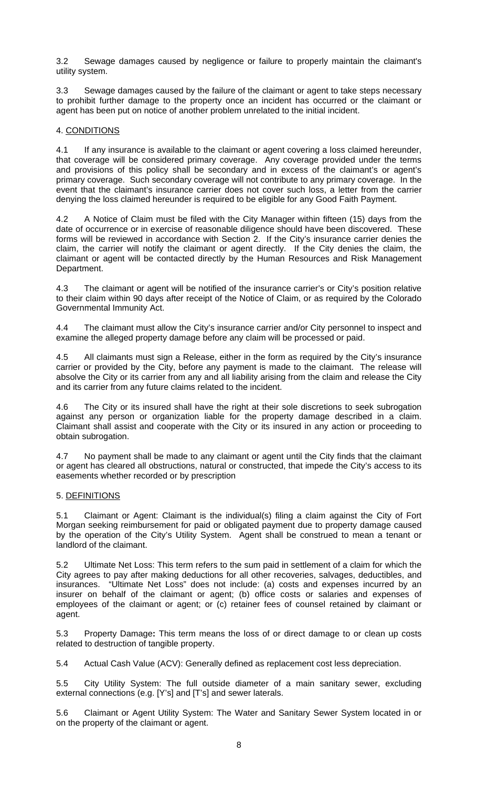3.2 Sewage damages caused by negligence or failure to properly maintain the claimant's utility system.

3.3 Sewage damages caused by the failure of the claimant or agent to take steps necessary to prohibit further damage to the property once an incident has occurred or the claimant or agent has been put on notice of another problem unrelated to the initial incident.

### 4. CONDITIONS

4.1 If any insurance is available to the claimant or agent covering a loss claimed hereunder, that coverage will be considered primary coverage. Any coverage provided under the terms and provisions of this policy shall be secondary and in excess of the claimant's or agent's primary coverage. Such secondary coverage will not contribute to any primary coverage. In the event that the claimant's insurance carrier does not cover such loss, a letter from the carrier denying the loss claimed hereunder is required to be eligible for any Good Faith Payment.

4.2 A Notice of Claim must be filed with the City Manager within fifteen (15) days from the date of occurrence or in exercise of reasonable diligence should have been discovered. These forms will be reviewed in accordance with Section 2. If the City's insurance carrier denies the claim, the carrier will notify the claimant or agent directly. If the City denies the claim, the claimant or agent will be contacted directly by the Human Resources and Risk Management Department.

4.3 The claimant or agent will be notified of the insurance carrier's or City's position relative to their claim within 90 days after receipt of the Notice of Claim, or as required by the Colorado Governmental Immunity Act.

4.4 The claimant must allow the City's insurance carrier and/or City personnel to inspect and examine the alleged property damage before any claim will be processed or paid.

4.5 All claimants must sign a Release, either in the form as required by the City's insurance carrier or provided by the City, before any payment is made to the claimant. The release will absolve the City or its carrier from any and all liability arising from the claim and release the City and its carrier from any future claims related to the incident.

4.6 The City or its insured shall have the right at their sole discretions to seek subrogation against any person or organization liable for the property damage described in a claim. Claimant shall assist and cooperate with the City or its insured in any action or proceeding to obtain subrogation.

4.7 No payment shall be made to any claimant or agent until the City finds that the claimant or agent has cleared all obstructions, natural or constructed, that impede the City's access to its easements whether recorded or by prescription

# 5. DEFINITIONS

5.1 Claimant or Agent: Claimant is the individual(s) filing a claim against the City of Fort Morgan seeking reimbursement for paid or obligated payment due to property damage caused by the operation of the City's Utility System. Agent shall be construed to mean a tenant or landlord of the claimant.

5.2 Ultimate Net Loss: This term refers to the sum paid in settlement of a claim for which the City agrees to pay after making deductions for all other recoveries, salvages, deductibles, and insurances. "Ultimate Net Loss" does not include: (a) costs and expenses incurred by an insurer on behalf of the claimant or agent; (b) office costs or salaries and expenses of employees of the claimant or agent; or (c) retainer fees of counsel retained by claimant or agent.

5.3 Property Damage**:** This term means the loss of or direct damage to or clean up costs related to destruction of tangible property.

5.4 Actual Cash Value (ACV): Generally defined as replacement cost less depreciation.

5.5 City Utility System: The full outside diameter of a main sanitary sewer, excluding external connections (e.g. [Y's] and [T's] and sewer laterals.

5.6 Claimant or Agent Utility System: The Water and Sanitary Sewer System located in or on the property of the claimant or agent.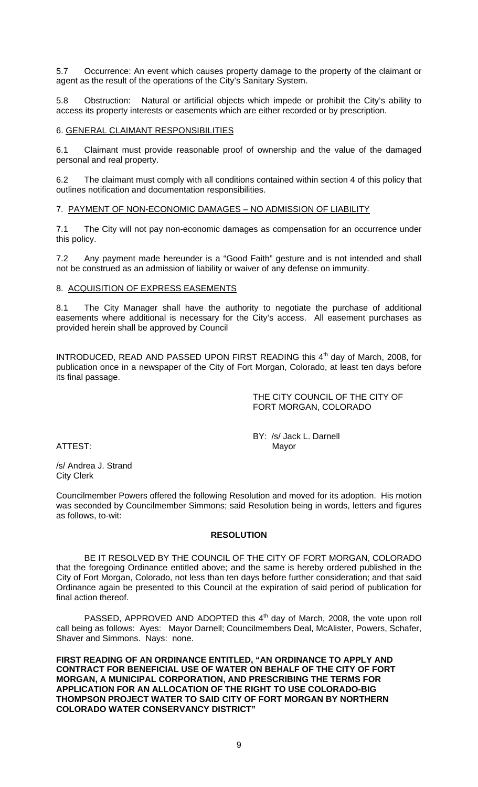5.7 Occurrence: An event which causes property damage to the property of the claimant or agent as the result of the operations of the City's Sanitary System.

5.8 Obstruction:Natural or artificial objects which impede or prohibit the City's ability to access its property interests or easements which are either recorded or by prescription.

### 6. GENERAL CLAIMANT RESPONSIBILITIES

6.1 Claimant must provide reasonable proof of ownership and the value of the damaged personal and real property.

6.2 The claimant must comply with all conditions contained within section 4 of this policy that outlines notification and documentation responsibilities.

### 7. PAYMENT OF NON-ECONOMIC DAMAGES – NO ADMISSION OF LIABILITY

7.1 The City will not pay non-economic damages as compensation for an occurrence under this policy.

7.2 Any payment made hereunder is a "Good Faith" gesture and is not intended and shall not be construed as an admission of liability or waiver of any defense on immunity.

### 8. ACQUISITION OF EXPRESS EASEMENTS

8.1 The City Manager shall have the authority to negotiate the purchase of additional easements where additional is necessary for the City's access. All easement purchases as provided herein shall be approved by Council

INTRODUCED, READ AND PASSED UPON FIRST READING this 4<sup>th</sup> day of March, 2008, for publication once in a newspaper of the City of Fort Morgan, Colorado, at least ten days before its final passage.

> THE CITY COUNCIL OF THE CITY OF FORT MORGAN, COLORADO

ATTEST:

BY: /s/ Jack L. Darnell<br>Mayor

/s/ Andrea J. Strand City Clerk

Councilmember Powers offered the following Resolution and moved for its adoption. His motion was seconded by Councilmember Simmons; said Resolution being in words, letters and figures as follows, to-wit:

### **RESOLUTION**

 BE IT RESOLVED BY THE COUNCIL OF THE CITY OF FORT MORGAN, COLORADO that the foregoing Ordinance entitled above; and the same is hereby ordered published in the City of Fort Morgan, Colorado, not less than ten days before further consideration; and that said Ordinance again be presented to this Council at the expiration of said period of publication for final action thereof.

PASSED, APPROVED AND ADOPTED this 4<sup>th</sup> day of March, 2008, the vote upon roll call being as follows: Ayes: Mayor Darnell; Councilmembers Deal, McAlister, Powers, Schafer, Shaver and Simmons. Nays: none.

**FIRST READING OF AN ORDINANCE ENTITLED, "AN ORDINANCE TO APPLY AND CONTRACT FOR BENEFICIAL USE OF WATER ON BEHALF OF THE CITY OF FORT MORGAN, A MUNICIPAL CORPORATION, AND PRESCRIBING THE TERMS FOR APPLICATION FOR AN ALLOCATION OF THE RIGHT TO USE COLORADO-BIG THOMPSON PROJECT WATER TO SAID CITY OF FORT MORGAN BY NORTHERN COLORADO WATER CONSERVANCY DISTRICT"**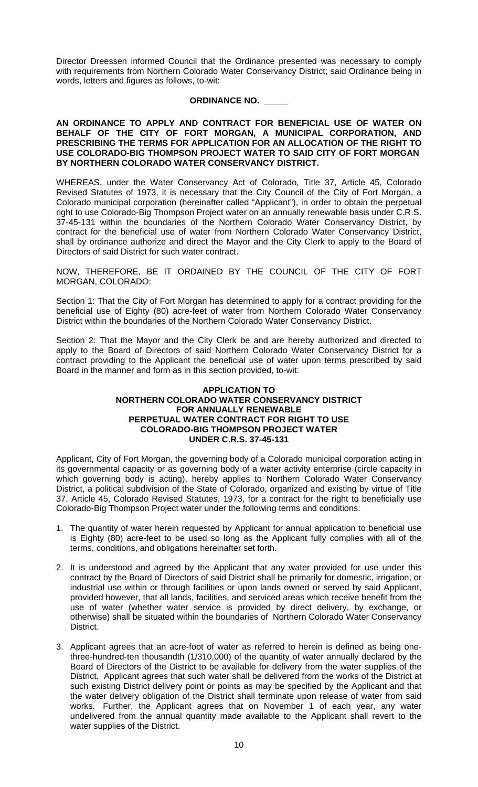Director Dreessen informed Council that the Ordinance presented was necessary to comply with requirements from Northern Colorado Water Conservancy District; said Ordinance being in words, letters and figures as follows, to-wit:

### **ORDINANCE NO. \_\_\_\_\_**

#### **AN ORDINANCE TO APPLY AND CONTRACT FOR BENEFICIAL USE OF WATER ON BEHALF OF THE CITY OF FORT MORGAN, A MUNICIPAL CORPORATION, AND PRESCRIBING THE TERMS FOR APPLICATION FOR AN ALLOCATION OF THE RIGHT TO USE COLORADO-BIG THOMPSON PROJECT WATER TO SAID CITY OF FORT MORGAN BY NORTHERN COLORADO WATER CONSERVANCY DISTRICT.**

WHEREAS, under the Water Conservancy Act of Colorado, Title 37, Article 45, Colorado Revised Statutes of 1973, it is necessary that the City Council of the City of Fort Morgan, a Colorado municipal corporation (hereinafter called "Applicant"), in order to obtain the perpetual right to use Colorado-Big Thompson Project water on an annually renewable basis under C.R.S. 37-45-131 within the boundaries of the Northern Colorado Water Conservancy District, by contract for the beneficial use of water from Northern Colorado Water Conservancy District, shall by ordinance authorize and direct the Mayor and the City Clerk to apply to the Board of Directors of said District for such water contract.

NOW, THEREFORE, BE IT ORDAINED BY THE COUNCIL OF THE CITY OF FORT MORGAN, COLORADO:

Section 1: That the City of Fort Morgan has determined to apply for a contract providing for the beneficial use of Eighty (80) acre-feet of water from Northern Colorado Water Conservancy District within the boundaries of the Northern Colorado Water Conservancy District.

Section 2: That the Mayor and the City Clerk be and are hereby authorized and directed to apply to the Board of Directors of said Northern Colorado Water Conservancy District for a contract providing to the Applicant the beneficial use of water upon terms prescribed by said Board in the manner and form as in this section provided, to-wit:

#### **APPLICATION TO NORTHERN COLORADO WATER CONSERVANCY DISTRICT FOR ANNUALLY RENEWABLE PERPETUAL WATER CONTRACT FOR RIGHT TO USE COLORADO-BIG THOMPSON PROJECT WATER UNDER C.R.S. 37-45-131**

Applicant, City of Fort Morgan, the governing body of a Colorado municipal corporation acting in its governmental capacity or as governing body of a water activity enterprise (circle capacity in which governing body is acting), hereby applies to Northern Colorado Water Conservancy District, a political subdivision of the State of Colorado, organized and existing by virtue of Title 37, Article 45, Colorado Revised Statutes, 1973, for a contract for the right to beneficially use Colorado-Big Thompson Project water under the following terms and conditions:

- 1. The quantity of water herein requested by Applicant for annual application to beneficial use is Eighty (80) acre-feet to be used so long as the Applicant fully complies with all of the terms, conditions, and obligations hereinafter set forth.
- 2. It is understood and agreed by the Applicant that any water provided for use under this contract by the Board of Directors of said District shall be primarily for domestic, irrigation, or industrial use within or through facilities or upon lands owned or served by said Applicant, provided however, that all lands, facilities, and serviced areas which receive benefit from the use of water (whether water service is provided by direct delivery, by exchange, or otherwise) shall be situated within the boundaries of Northern Colorado Water Conservancy District.
- 3. Applicant agrees that an acre-foot of water as referred to herein is defined as being onethree-hundred-ten thousandth (1/310,000) of the quantity of water annually declared by the Board of Directors of the District to be available for delivery from the water supplies of the District. Applicant agrees that such water shall be delivered from the works of the District at such existing District delivery point or points as may be specified by the Applicant and that the water delivery obligation of the District shall terminate upon release of water from said works. Further, the Applicant agrees that on November 1 of each year, any water undelivered from the annual quantity made available to the Applicant shall revert to the water supplies of the District.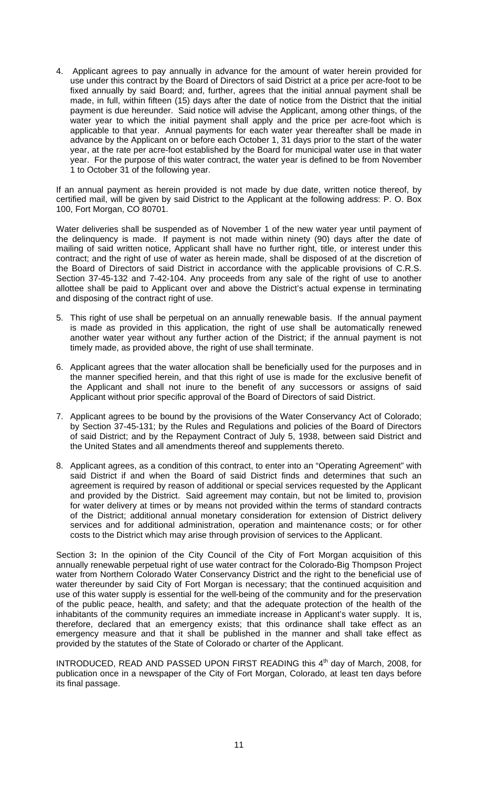4. Applicant agrees to pay annually in advance for the amount of water herein provided for use under this contract by the Board of Directors of said District at a price per acre-foot to be fixed annually by said Board; and, further, agrees that the initial annual payment shall be made, in full, within fifteen (15) days after the date of notice from the District that the initial payment is due hereunder. Said notice will advise the Applicant, among other things, of the water year to which the initial payment shall apply and the price per acre-foot which is applicable to that year. Annual payments for each water year thereafter shall be made in advance by the Applicant on or before each October 1, 31 days prior to the start of the water year, at the rate per acre-foot established by the Board for municipal water use in that water year. For the purpose of this water contract, the water year is defined to be from November 1 to October 31 of the following year.

If an annual payment as herein provided is not made by due date, written notice thereof, by certified mail, will be given by said District to the Applicant at the following address: P. O. Box 100, Fort Morgan, CO 80701.

Water deliveries shall be suspended as of November 1 of the new water year until payment of the delinquency is made. If payment is not made within ninety (90) days after the date of mailing of said written notice, Applicant shall have no further right, title, or interest under this contract; and the right of use of water as herein made, shall be disposed of at the discretion of the Board of Directors of said District in accordance with the applicable provisions of C.R.S. Section 37-45-132 and 7-42-104. Any proceeds from any sale of the right of use to another allottee shall be paid to Applicant over and above the District's actual expense in terminating and disposing of the contract right of use.

- 5. This right of use shall be perpetual on an annually renewable basis. If the annual payment is made as provided in this application, the right of use shall be automatically renewed another water year without any further action of the District; if the annual payment is not timely made, as provided above, the right of use shall terminate.
- 6. Applicant agrees that the water allocation shall be beneficially used for the purposes and in the manner specified herein, and that this right of use is made for the exclusive benefit of the Applicant and shall not inure to the benefit of any successors or assigns of said Applicant without prior specific approval of the Board of Directors of said District.
- 7. Applicant agrees to be bound by the provisions of the Water Conservancy Act of Colorado; by Section 37-45-131; by the Rules and Regulations and policies of the Board of Directors of said District; and by the Repayment Contract of July 5, 1938, between said District and the United States and all amendments thereof and supplements thereto.
- 8. Applicant agrees, as a condition of this contract, to enter into an "Operating Agreement" with said District if and when the Board of said District finds and determines that such an agreement is required by reason of additional or special services requested by the Applicant and provided by the District. Said agreement may contain, but not be limited to, provision for water delivery at times or by means not provided within the terms of standard contracts of the District; additional annual monetary consideration for extension of District delivery services and for additional administration, operation and maintenance costs; or for other costs to the District which may arise through provision of services to the Applicant.

Section 3**:** In the opinion of the City Council of the City of Fort Morgan acquisition of this annually renewable perpetual right of use water contract for the Colorado-Big Thompson Project water from Northern Colorado Water Conservancy District and the right to the beneficial use of water thereunder by said City of Fort Morgan is necessary; that the continued acquisition and use of this water supply is essential for the well-being of the community and for the preservation of the public peace, health, and safety; and that the adequate protection of the health of the inhabitants of the community requires an immediate increase in Applicant's water supply. It is, therefore, declared that an emergency exists; that this ordinance shall take effect as an emergency measure and that it shall be published in the manner and shall take effect as provided by the statutes of the State of Colorado or charter of the Applicant.

INTRODUCED, READ AND PASSED UPON FIRST READING this 4<sup>th</sup> day of March, 2008, for publication once in a newspaper of the City of Fort Morgan, Colorado, at least ten days before its final passage.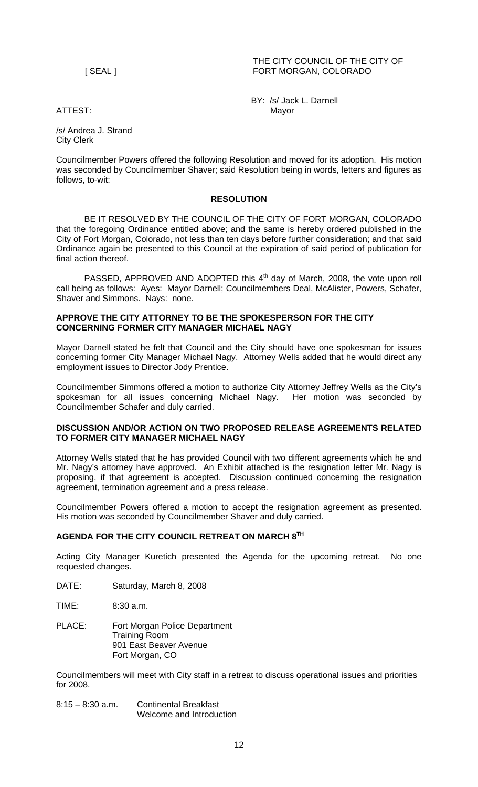THE CITY COUNCIL OF THE CITY OF [ SEAL ] FORT MORGAN, COLORADO

 BY: /s/ Jack L. Darnell ATTEST: Mayor

/s/ Andrea J. Strand City Clerk

Councilmember Powers offered the following Resolution and moved for its adoption. His motion was seconded by Councilmember Shaver; said Resolution being in words, letters and figures as follows, to-wit:

# **RESOLUTION**

 BE IT RESOLVED BY THE COUNCIL OF THE CITY OF FORT MORGAN, COLORADO that the foregoing Ordinance entitled above; and the same is hereby ordered published in the City of Fort Morgan, Colorado, not less than ten days before further consideration; and that said Ordinance again be presented to this Council at the expiration of said period of publication for final action thereof.

PASSED, APPROVED AND ADOPTED this  $4<sup>th</sup>$  day of March, 2008, the vote upon roll call being as follows: Ayes: Mayor Darnell; Councilmembers Deal, McAlister, Powers, Schafer, Shaver and Simmons. Nays: none.

### **APPROVE THE CITY ATTORNEY TO BE THE SPOKESPERSON FOR THE CITY CONCERNING FORMER CITY MANAGER MICHAEL NAGY**

Mayor Darnell stated he felt that Council and the City should have one spokesman for issues concerning former City Manager Michael Nagy. Attorney Wells added that he would direct any employment issues to Director Jody Prentice.

Councilmember Simmons offered a motion to authorize City Attorney Jeffrey Wells as the City's spokesman for all issues concerning Michael Nagy. Her motion was seconded by Councilmember Schafer and duly carried.

### **DISCUSSION AND/OR ACTION ON TWO PROPOSED RELEASE AGREEMENTS RELATED TO FORMER CITY MANAGER MICHAEL NAGY**

Attorney Wells stated that he has provided Council with two different agreements which he and Mr. Nagy's attorney have approved. An Exhibit attached is the resignation letter Mr. Nagy is proposing, if that agreement is accepted. Discussion continued concerning the resignation agreement, termination agreement and a press release.

Councilmember Powers offered a motion to accept the resignation agreement as presented. His motion was seconded by Councilmember Shaver and duly carried.

# **AGENDA FOR THE CITY COUNCIL RETREAT ON MARCH 8TH**

Acting City Manager Kuretich presented the Agenda for the upcoming retreat. No one requested changes.

DATE: Saturday, March 8, 2008

TIME: 8:30 a.m.

PLACE: Fort Morgan Police Department Training Room 901 East Beaver Avenue Fort Morgan, CO

Councilmembers will meet with City staff in a retreat to discuss operational issues and priorities for 2008.

8:15 – 8:30 a.m. Continental Breakfast Welcome and Introduction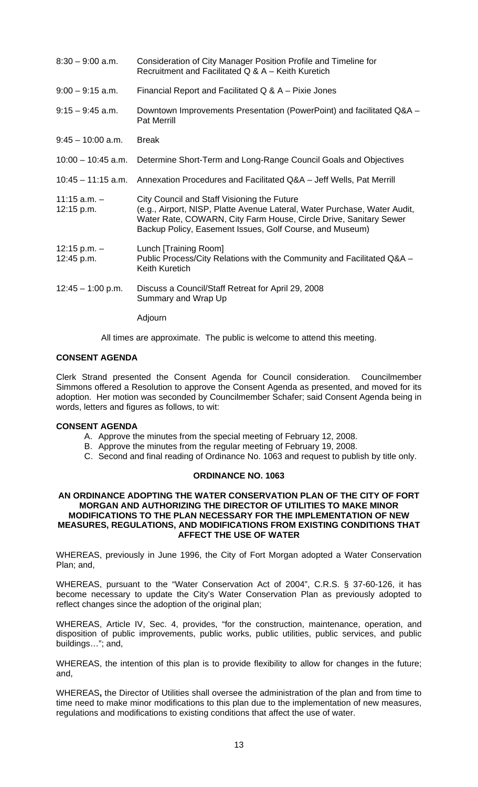| $8:30 - 9:00$ a.m.             | Consideration of City Manager Position Profile and Timeline for<br>Recruitment and Facilitated Q & A - Keith Kuretich                                                                                                                                     |
|--------------------------------|-----------------------------------------------------------------------------------------------------------------------------------------------------------------------------------------------------------------------------------------------------------|
| $9:00 - 9:15$ a.m.             | Financial Report and Facilitated Q & A - Pixie Jones                                                                                                                                                                                                      |
| $9:15 - 9:45$ a.m.             | Downtown Improvements Presentation (PowerPoint) and facilitated Q&A -<br><b>Pat Merrill</b>                                                                                                                                                               |
| $9:45 - 10:00$ a.m.            | <b>Break</b>                                                                                                                                                                                                                                              |
| $10:00 - 10:45$ a.m.           | Determine Short-Term and Long-Range Council Goals and Objectives                                                                                                                                                                                          |
| $10:45 - 11:15$ a.m.           | Annexation Procedures and Facilitated Q&A – Jeff Wells, Pat Merrill                                                                                                                                                                                       |
| $11:15$ a.m. $-$<br>12:15 p.m. | City Council and Staff Visioning the Future<br>(e.g., Airport, NISP, Platte Avenue Lateral, Water Purchase, Water Audit,<br>Water Rate, COWARN, City Farm House, Circle Drive, Sanitary Sewer<br>Backup Policy, Easement Issues, Golf Course, and Museum) |
| $12:15 p.m. -$<br>12:45 p.m.   | Lunch [Training Room]<br>Public Process/City Relations with the Community and Facilitated Q&A -<br><b>Keith Kuretich</b>                                                                                                                                  |
| $12:45 - 1:00$ p.m.            | Discuss a Council/Staff Retreat for April 29, 2008<br>Summary and Wrap Up                                                                                                                                                                                 |
|                                | Adjourn                                                                                                                                                                                                                                                   |

All times are approximate. The public is welcome to attend this meeting.

### **CONSENT AGENDA**

Clerk Strand presented the Consent Agenda for Council consideration. Councilmember Simmons offered a Resolution to approve the Consent Agenda as presented, and moved for its adoption. Her motion was seconded by Councilmember Schafer; said Consent Agenda being in words, letters and figures as follows, to wit:

### **CONSENT AGENDA**

- A. Approve the minutes from the special meeting of February 12, 2008.
- B. Approve the minutes from the regular meeting of February 19, 2008.
- C. Second and final reading of Ordinance No. 1063 and request to publish by title only.

### **ORDINANCE NO. 1063**

#### **AN ORDINANCE ADOPTING THE WATER CONSERVATION PLAN OF THE CITY OF FORT MORGAN AND AUTHORIZING THE DIRECTOR OF UTILITIES TO MAKE MINOR MODIFICATIONS TO THE PLAN NECESSARY FOR THE IMPLEMENTATION OF NEW MEASURES, REGULATIONS, AND MODIFICATIONS FROM EXISTING CONDITIONS THAT AFFECT THE USE OF WATER**

WHEREAS, previously in June 1996, the City of Fort Morgan adopted a Water Conservation Plan; and,

WHEREAS, pursuant to the "Water Conservation Act of 2004", C.R.S. § 37-60-126, it has become necessary to update the City's Water Conservation Plan as previously adopted to reflect changes since the adoption of the original plan;

WHEREAS, Article IV, Sec. 4, provides, "for the construction, maintenance, operation, and disposition of public improvements, public works, public utilities, public services, and public buildings…"; and,

WHEREAS, the intention of this plan is to provide flexibility to allow for changes in the future; and,

WHEREAS**,** the Director of Utilities shall oversee the administration of the plan and from time to time need to make minor modifications to this plan due to the implementation of new measures, regulations and modifications to existing conditions that affect the use of water.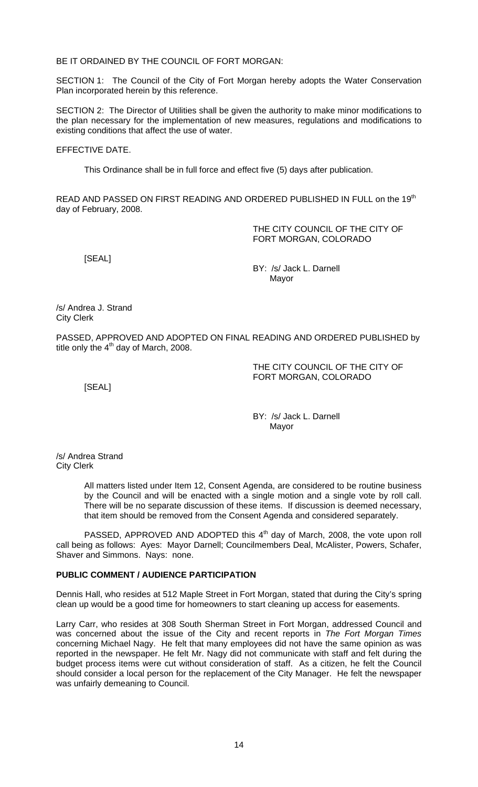BE IT ORDAINED BY THE COUNCIL OF FORT MORGAN:

SECTION 1: The Council of the City of Fort Morgan hereby adopts the Water Conservation Plan incorporated herein by this reference.

SECTION 2: The Director of Utilities shall be given the authority to make minor modifications to the plan necessary for the implementation of new measures, regulations and modifications to existing conditions that affect the use of water.

EFFECTIVE DATE.

This Ordinance shall be in full force and effect five (5) days after publication.

READ AND PASSED ON FIRST READING AND ORDERED PUBLISHED IN FULL on the 19<sup>th</sup> day of February, 2008.

> THE CITY COUNCIL OF THE CITY OF FORT MORGAN, COLORADO

[SEAL]

 BY: /s/ Jack L. Darnell discussion of the contract of the Mayor Mayor

/s/ Andrea J. Strand City Clerk

PASSED, APPROVED AND ADOPTED ON FINAL READING AND ORDERED PUBLISHED by title only the  $4<sup>th</sup>$  day of March, 2008.

> THE CITY COUNCIL OF THE CITY OF FORT MORGAN, COLORADO

[SEAL]

BY: /s/ Jack L. Darnell discussion of the contract of the Mayor Mayor

/s/ Andrea Strand City Clerk

> All matters listed under Item 12, Consent Agenda, are considered to be routine business by the Council and will be enacted with a single motion and a single vote by roll call. There will be no separate discussion of these items. If discussion is deemed necessary, that item should be removed from the Consent Agenda and considered separately.

PASSED, APPROVED AND ADOPTED this 4<sup>th</sup> day of March, 2008, the vote upon roll call being as follows: Ayes: Mayor Darnell; Councilmembers Deal, McAlister, Powers, Schafer, Shaver and Simmons. Nays: none.

# **PUBLIC COMMENT / AUDIENCE PARTICIPATION**

Dennis Hall, who resides at 512 Maple Street in Fort Morgan, stated that during the City's spring clean up would be a good time for homeowners to start cleaning up access for easements.

Larry Carr, who resides at 308 South Sherman Street in Fort Morgan, addressed Council and was concerned about the issue of the City and recent reports in *The Fort Morgan Times* concerning Michael Nagy. He felt that many employees did not have the same opinion as was reported in the newspaper. He felt Mr. Nagy did not communicate with staff and felt during the budget process items were cut without consideration of staff. As a citizen, he felt the Council should consider a local person for the replacement of the City Manager. He felt the newspaper was unfairly demeaning to Council.